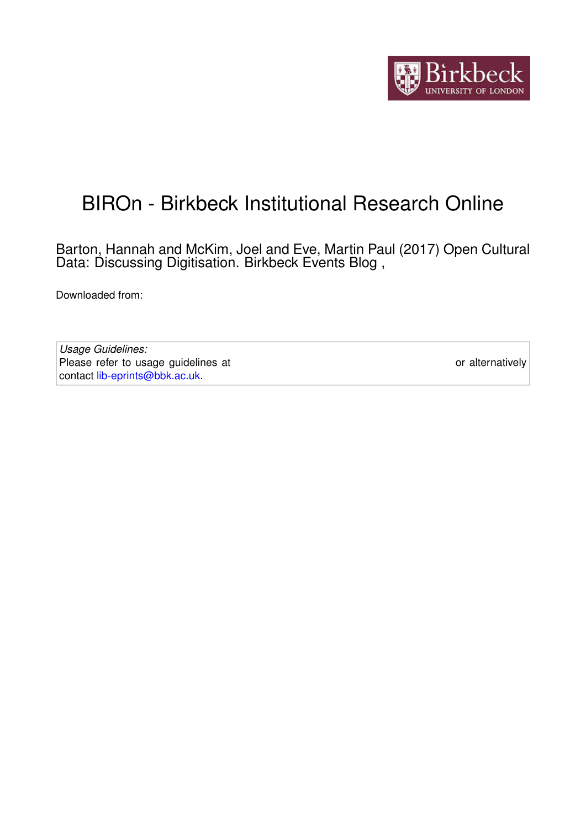

# BIROn - Birkbeck Institutional Research Online

Barton, Hannah and McKim, Joel and Eve, Martin Paul (2017) Open Cultural Data: Discussing Digitisation. Birkbeck Events Blog ,

Downloaded from: <https://eprints.bbk.ac.uk/id/eprint/18031/>

*Usage Guidelines:* Please refer to usage guidelines at <https://eprints.bbk.ac.uk/policies.html> or alternatively contact [lib-eprints@bbk.ac.uk.](mailto:lib-eprints@bbk.ac.uk)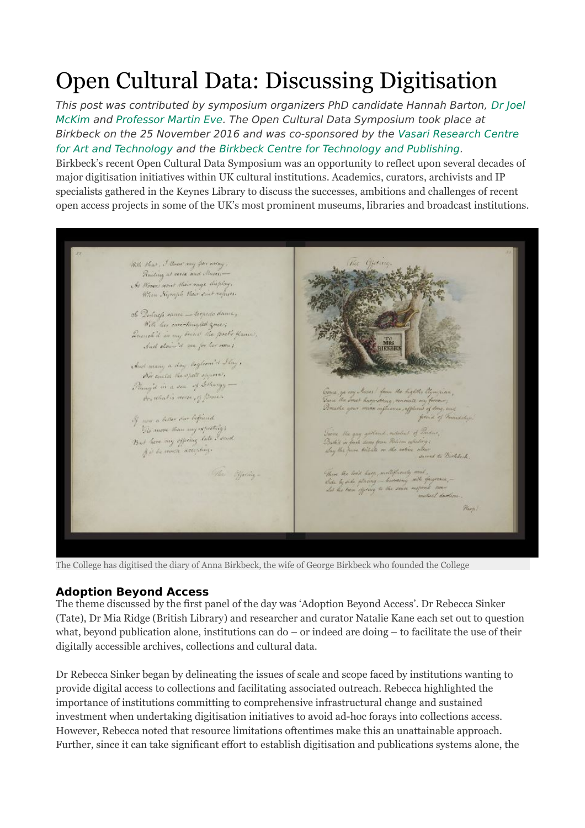# Open Cultural Data: Discussing Digitisation

This post was contributed by symposium organizers PhD candidate Hannah Barton, [Dr Joel](http://www.bbk.ac.uk/culture/staff/teaching-staff/joel-mckim)  [McKim](http://www.bbk.ac.uk/culture/staff/teaching-staff/joel-mckim) and [Professor Martin Eve.](http://www.bbk.ac.uk/english/our-staff/full-time-academic-staff/martin-eve) The Open Cultural Data Symposium took place at Birkbeck on the 25 November 2016 and was co-sponsored by the [Vasari Research Centre](http://www.bbk.ac.uk/arts/research/vasari-research-centre)  [for Art and Technology](http://www.bbk.ac.uk/arts/research/vasari-research-centre) and the [Birkbeck Centre for Technology and Publishing.](http://www.ctp.bbk.ac.uk/)

Birkbeck's recent Open Cultural Data Symposium was an opportunity to reflect upon several decades of major digitisation initiatives within UK cultural institutions. Academics, curators, archivists and IP specialists gathered in the Keynes Library to discuss the successes, ambitions and challenges of recent open access projects in some of the UK's most prominent museums, libraries and broadcast institutions.



The College has digitised the diary of Anna Birkbeck, the wife of George Birkbeck who founded the College

#### **Adoption Beyond Access**

The theme discussed by the first panel of the day was 'Adoption Beyond Access'. Dr Rebecca Sinker (Tate), Dr Mia Ridge (British Library) and researcher and curator Natalie Kane each set out to question what, beyond publication alone, institutions can  $d\rho - \sigma r$  indeed are doing  $-\sigma r$  facilitate the use of their digitally accessible archives, collections and cultural data.

Dr Rebecca Sinker began by delineating the issues of scale and scope faced by institutions wanting to provide digital access to collections and facilitating associated outreach. Rebecca highlighted the importance of institutions committing to comprehensive infrastructural change and sustained investment when undertaking digitisation initiatives to avoid ad-hoc forays into collections access. However, Rebecca noted that resource limitations oftentimes make this an unattainable approach. Further, since it can take significant effort to establish digitisation and publications systems alone, the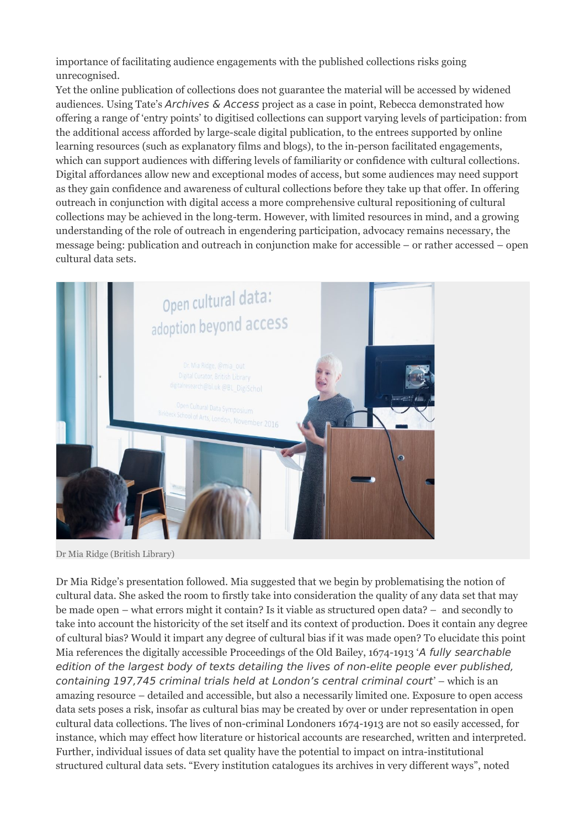importance of facilitating audience engagements with the published collections risks going unrecognised.

Yet the online publication of collections does not guarantee the material will be accessed by widened audiences. Using Tate's Archives & Access project as a case in point, Rebecca demonstrated how offering a range of 'entry points' to digitised collections can support varying levels of participation: from the additional access afforded by large-scale digital publication, to the entrees supported by online learning resources (such as explanatory films and blogs), to the in-person facilitated engagements, which can support audiences with differing levels of familiarity or confidence with cultural collections. Digital affordances allow new and exceptional modes of access, but some audiences may need support as they gain confidence and awareness of cultural collections before they take up that offer. In offering outreach in conjunction with digital access a more comprehensive cultural repositioning of cultural collections may be achieved in the long-term. However, with limited resources in mind, and a growing understanding of the role of outreach in engendering participation, advocacy remains necessary, the message being: publication and outreach in conjunction make for accessible – or rather accessed – open cultural data sets.



Dr Mia Ridge (British Library)

Dr Mia Ridge's presentation followed. Mia suggested that we begin by problematising the notion of cultural data. She asked the room to firstly take into consideration the quality of any data set that may be made open – what errors might it contain? Is it viable as structured open data? – and secondly to take into account the historicity of the set itself and its context of production. Does it contain any degree of cultural bias? Would it impart any degree of cultural bias if it was made open? To elucidate this point Mia references the digitally accessible Proceedings of the Old Bailey, 1674-1913 'A fully searchable edition of the largest body of texts detailing the lives of non-elite people ever published, containing 197,745 criminal trials held at London's central criminal court' – which is an amazing resource – detailed and accessible, but also a necessarily limited one. Exposure to open access data sets poses a risk, insofar as cultural bias may be created by over or under representation in open cultural data collections. The lives of non-criminal Londoners 1674-1913 are not so easily accessed, for instance, which may effect how literature or historical accounts are researched, written and interpreted. Further, individual issues of data set quality have the potential to impact on intra-institutional structured cultural data sets. "Every institution catalogues its archives in very different ways", noted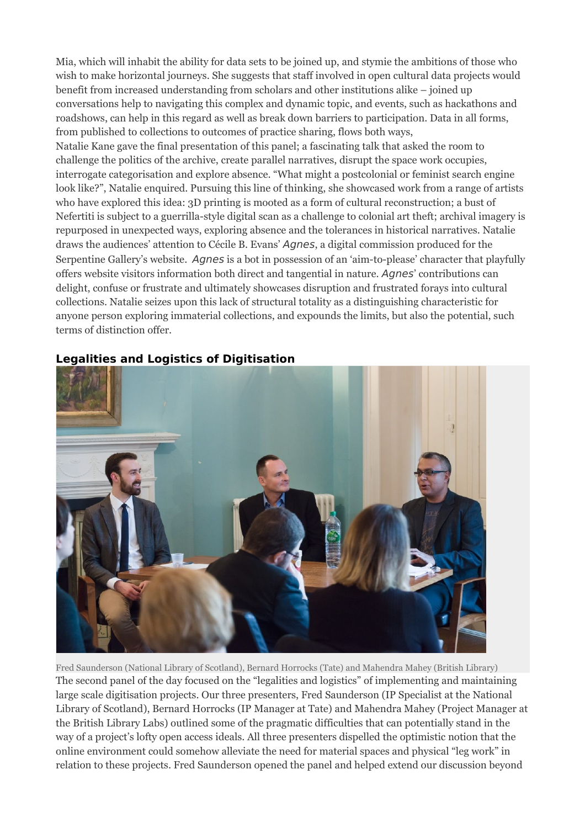Mia, which will inhabit the ability for data sets to be joined up, and stymie the ambitions of those who wish to make horizontal journeys. She suggests that staff involved in open cultural data projects would benefit from increased understanding from scholars and other institutions alike – joined up conversations help to navigating this complex and dynamic topic, and events, such as hackathons and roadshows, can help in this regard as well as break down barriers to participation. Data in all forms, from published to collections to outcomes of practice sharing, flows both ways,

Natalie Kane gave the final presentation of this panel; a fascinating talk that asked the room to challenge the politics of the archive, create parallel narratives, disrupt the space work occupies, interrogate categorisation and explore absence. "What might a postcolonial or feminist search engine look like?", Natalie enquired. Pursuing this line of thinking, she showcased work from a range of artists who have explored this idea: 3D printing is mooted as a form of cultural reconstruction; a bust of Nefertiti is subject to a guerrilla-style digital scan as a challenge to colonial art theft; archival imagery is repurposed in unexpected ways, exploring absence and the tolerances in historical narratives. Natalie draws the audiences' attention to Cécile B. Evans' Agnes, a digital commission produced for the Serpentine Gallery's website. Agnes is a bot in possession of an 'aim-to-please' character that playfully offers website visitors information both direct and tangential in nature. Agnes' contributions can delight, confuse or frustrate and ultimately showcases disruption and frustrated forays into cultural collections. Natalie seizes upon this lack of structural totality as a distinguishing characteristic for anyone person exploring immaterial collections, and expounds the limits, but also the potential, such terms of distinction offer.



## **Legalities and Logistics of Digitisation**

Fred Saunderson (National Library of Scotland), Bernard Horrocks (Tate) and Mahendra Mahey (British Library) The second panel of the day focused on the "legalities and logistics" of implementing and maintaining large scale digitisation projects. Our three presenters, Fred Saunderson (IP Specialist at the National Library of Scotland), Bernard Horrocks (IP Manager at Tate) and Mahendra Mahey (Project Manager at the British Library Labs) outlined some of the pragmatic difficulties that can potentially stand in the way of a project's lofty open access ideals. All three presenters dispelled the optimistic notion that the online environment could somehow alleviate the need for material spaces and physical "leg work" in relation to these projects. Fred Saunderson opened the panel and helped extend our discussion beyond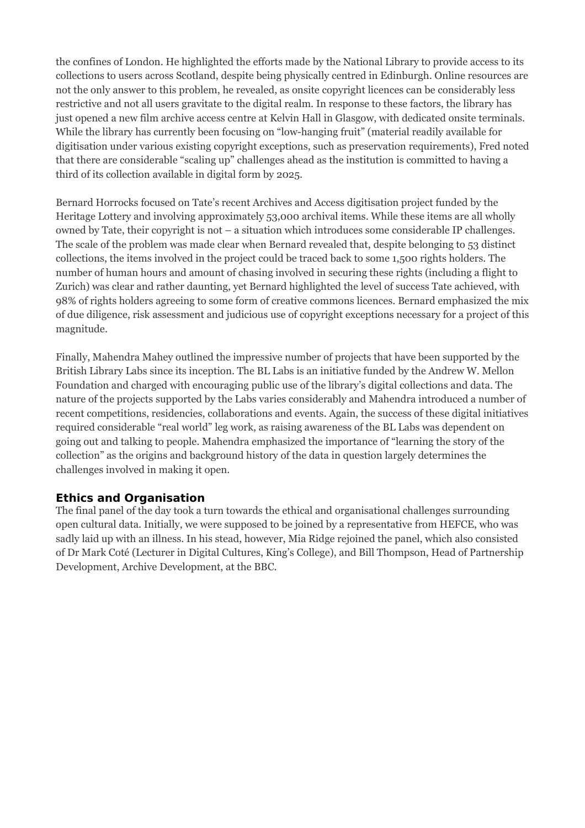the confines of London. He highlighted the efforts made by the National Library to provide access to its collections to users across Scotland, despite being physically centred in Edinburgh. Online resources are not the only answer to this problem, he revealed, as onsite copyright licences can be considerably less restrictive and not all users gravitate to the digital realm. In response to these factors, the library has just opened a new film archive access centre at Kelvin Hall in Glasgow, with dedicated onsite terminals. While the library has currently been focusing on "low-hanging fruit" (material readily available for digitisation under various existing copyright exceptions, such as preservation requirements), Fred noted that there are considerable "scaling up" challenges ahead as the institution is committed to having a third of its collection available in digital form by 2025.

Bernard Horrocks focused on Tate's recent Archives and Access digitisation project funded by the Heritage Lottery and involving approximately 53,000 archival items. While these items are all wholly owned by Tate, their copyright is not – a situation which introduces some considerable IP challenges. The scale of the problem was made clear when Bernard revealed that, despite belonging to 53 distinct collections, the items involved in the project could be traced back to some 1,500 rights holders. The number of human hours and amount of chasing involved in securing these rights (including a flight to Zurich) was clear and rather daunting, yet Bernard highlighted the level of success Tate achieved, with 98% of rights holders agreeing to some form of creative commons licences. Bernard emphasized the mix of due diligence, risk assessment and judicious use of copyright exceptions necessary for a project of this magnitude.

Finally, Mahendra Mahey outlined the impressive number of projects that have been supported by the British Library Labs since its inception. The BL Labs is an initiative funded by the Andrew W. Mellon Foundation and charged with encouraging public use of the library's digital collections and data. The nature of the projects supported by the Labs varies considerably and Mahendra introduced a number of recent competitions, residencies, collaborations and events. Again, the success of these digital initiatives required considerable "real world" leg work, as raising awareness of the BL Labs was dependent on going out and talking to people. Mahendra emphasized the importance of "learning the story of the collection" as the origins and background history of the data in question largely determines the challenges involved in making it open.

### **Ethics and Organisation**

The final panel of the day took a turn towards the ethical and organisational challenges surrounding open cultural data. Initially, we were supposed to be joined by a representative from HEFCE, who was sadly laid up with an illness. In his stead, however, Mia Ridge rejoined the panel, which also consisted of Dr Mark Coté (Lecturer in Digital Cultures, King's College), and Bill Thompson, Head of Partnership Development, Archive Development, at the BBC.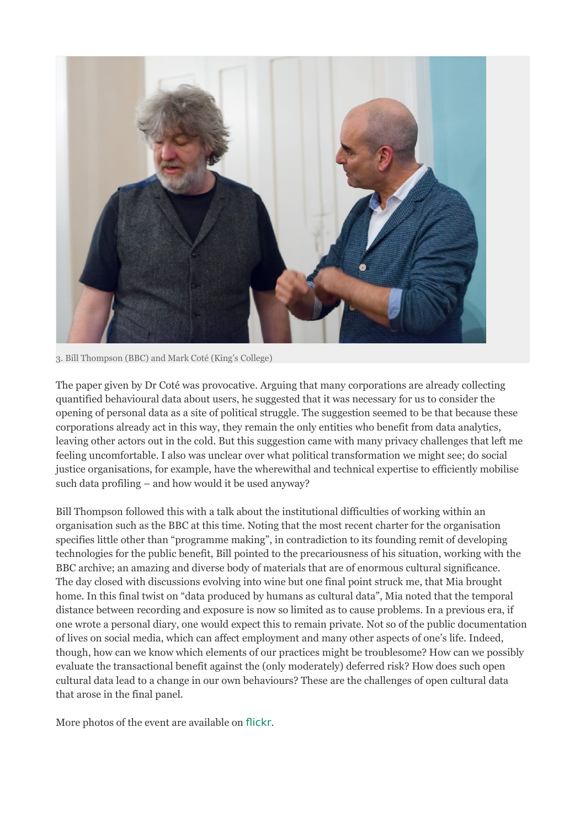![](_page_5_Picture_0.jpeg)

3. Bill Thompson (BBC) and Mark Coté (King's College)

The paper given by Dr Coté was provocative. Arguing that many corporations are already collecting quantified behavioural data about users, he suggested that it was necessary for us to consider the opening of personal data as a site of political struggle. The suggestion seemed to be that because these corporations already act in this way, they remain the only entities who benefit from data analytics, leaving other actors out in the cold. But this suggestion came with many privacy challenges that left me feeling uncomfortable. I also was unclear over what political transformation we might see; do social justice organisations, for example, have the wherewithal and technical expertise to efficiently mobilise such data profiling – and how would it be used anyway?

Bill Thompson followed this with a talk about the institutional difficulties of working within an organisation such as the BBC at this time. Noting that the most recent charter for the organisation specifies little other than "programme making", in contradiction to its founding remit of developing technologies for the public benefit, Bill pointed to the precariousness of his situation, working with the BBC archive; an amazing and diverse body of materials that are of enormous cultural significance. The day closed with discussions evolving into wine but one final point struck me, that Mia brought home. In this final twist on "data produced by humans as cultural data", Mia noted that the temporal distance between recording and exposure is now so limited as to cause problems. In a previous era, if one wrote a personal diary, one would expect this to remain private. Not so of the public documentation of lives on social media, which can affect employment and many other aspects of one's life. Indeed, though, how can we know which elements of our practices might be troublesome? How can we possibly evaluate the transactional benefit against the (only moderately) deferred risk? How does such open cultural data lead to a change in our own behaviours? These are the challenges of open cultural data that arose in the final panel.

More photos of the event are available on [flickr](https://www.flickr.com/photos/birkbeckmediaservices/sets/72157673487313354/).